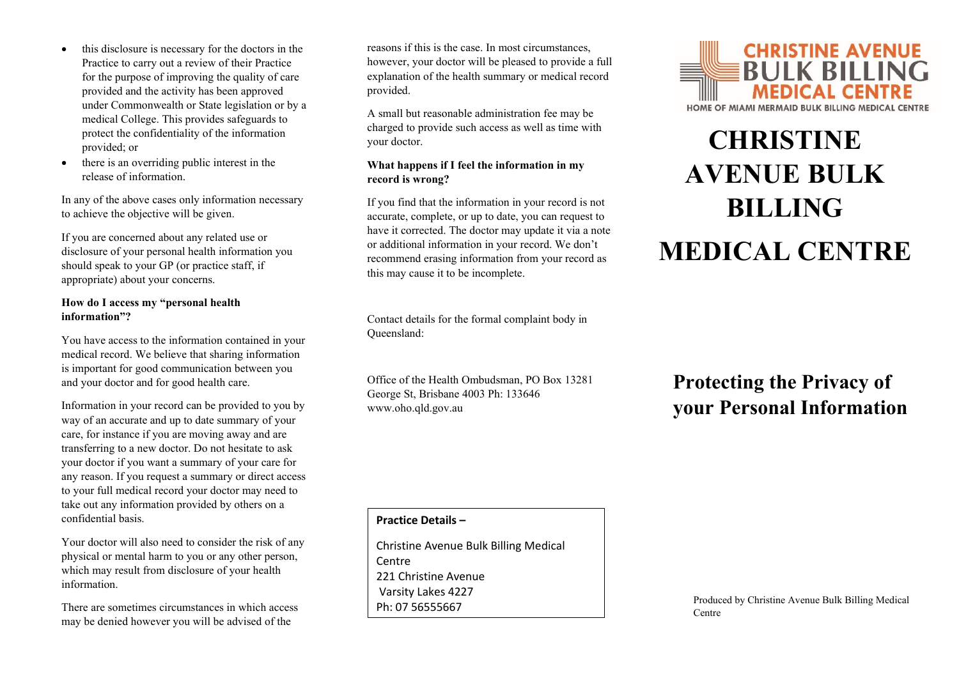- this disclosure is necessary for the doctors in the Practice to carry out a review of their Practice for the purpose of improving the quality of care provided and the activity has been approved under Commonwealth or State legislation or by a medical College. This provides safeguards to protect the confidentiality of the information provided; or
- there is an overriding public interest in the release of information.

In any of the above cases only information necessary to achieve the objective will be given.

If you are concerned about any related use or disclosure of your personal health information you should speak to your GP (or practice staff, if appropriate) about your concerns.

#### **How do I access my "personal health information"?**

You have access to the information contained in your medical record. We believe that sharing information is important for good communication between you and your doctor and for good health care.

Information in your record can be provided to you by way of an accurate and up to date summary of your care, for instance if you are moving away and are transferring to a new doctor. Do not hesitate to ask your doctor if you want a summary of your care for any reason. If you request a summary or direct access to your full medical record your doctor may need to take out any information provided by others on a confidential basis.

Your doctor will also need to consider the risk of any physical or mental harm to you or any other person, which may result from disclosure of your health information.

There are sometimes circumstances in which access may be denied however you will be advised of the

reasons if this is the case. In most circumstances, however, your doctor will be pleased to provide a full explanation of the health summary or medical record provided.

A small but reasonable administration fee may be charged to provide such access as well as time with your doctor.

#### **What happens if I feel the information in my record is wrong?**

If you find that the information in your record is not accurate, complete, or up to date, you can request to have it corrected. The doctor may update it via a note or additional information in your record. We don't recommend erasing information from your record as this may cause it to be incomplete.

Contact details for the formal complaint body in Queensland:

Office of the Health Ombudsman, PO Box 13281 George St, Brisbane 4003 Ph: 133646 www.oho.qld.gov.au



# **CHRISTINE AVENUE BULK BILLING MEDICAL CENTRE**

## **Protecting the Privacy of your Personal Information**

### **Practice Details –** Christine Avenue Bulk Billing Medical Centre 221 Christine Avenue Varsity Lakes 4227 Ph: 07 56555667 Ï

Produced by Christine Avenue Bulk Billing Medical Centre